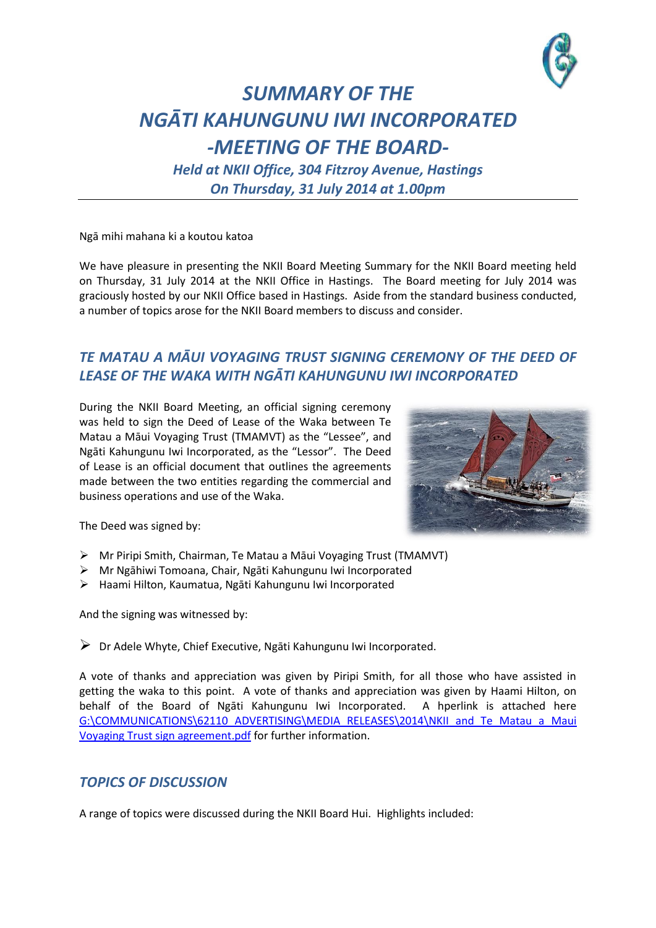

## *SUMMARY OF THE NGĀTI KAHUNGUNU IWI INCORPORATED -MEETING OF THE BOARD-*

*Held at NKII Office, 304 Fitzroy Avenue, Hastings On Thursday, 31 July 2014 at 1.00pm*

Ngā mihi mahana ki a koutou katoa

We have pleasure in presenting the NKII Board Meeting Summary for the NKII Board meeting held on Thursday, 31 July 2014 at the NKII Office in Hastings. The Board meeting for July 2014 was graciously hosted by our NKII Office based in Hastings. Aside from the standard business conducted, a number of topics arose for the NKII Board members to discuss and consider.

## *TE MATAU A MĀUI VOYAGING TRUST SIGNING CEREMONY OF THE DEED OF LEASE OF THE WAKA WITH NGĀTI KAHUNGUNU IWI INCORPORATED*

During the NKII Board Meeting, an official signing ceremony was held to sign the Deed of Lease of the Waka between Te Matau a Māui Voyaging Trust (TMAMVT) as the "Lessee", and Ngāti Kahungunu Iwi Incorporated, as the "Lessor". The Deed of Lease is an official document that outlines the agreements made between the two entities regarding the commercial and business operations and use of the Waka.



The Deed was signed by:

- Mr Piripi Smith, Chairman, Te Matau a Māui Voyaging Trust (TMAMVT)
- Mr Ngāhiwi Tomoana, Chair, Ngāti Kahungunu Iwi Incorporated
- Haami Hilton, Kaumatua, Ngāti Kahungunu Iwi Incorporated

And the signing was witnessed by:

Dr Adele Whyte, Chief Executive, Ngāti Kahungunu Iwi Incorporated.

A vote of thanks and appreciation was given by Piripi Smith, for all those who have assisted in getting the waka to this point. A vote of thanks and appreciation was given by Haami Hilton, on behalf of the Board of Ngāti Kahungunu Iwi Incorporated. A hperlink is attached here [G:\COMMUNICATIONS\62110 ADVERTISING\MEDIA RELEASES\2014\NKII and Te Matau a Maui](file://ROROHIKO/Public/COMMUNICATIONS/62110%20ADVERTISING/MEDIA%20RELEASES/2014/NKII%20and%20Te%20Matau%20a%20Maui%20Voyaging%20Trust%20sign%20agreement.pdf)  [Voyaging Trust sign agreement.pdf](file://ROROHIKO/Public/COMMUNICATIONS/62110%20ADVERTISING/MEDIA%20RELEASES/2014/NKII%20and%20Te%20Matau%20a%20Maui%20Voyaging%20Trust%20sign%20agreement.pdf) for further information.

## *TOPICS OF DISCUSSION*

A range of topics were discussed during the NKII Board Hui. Highlights included: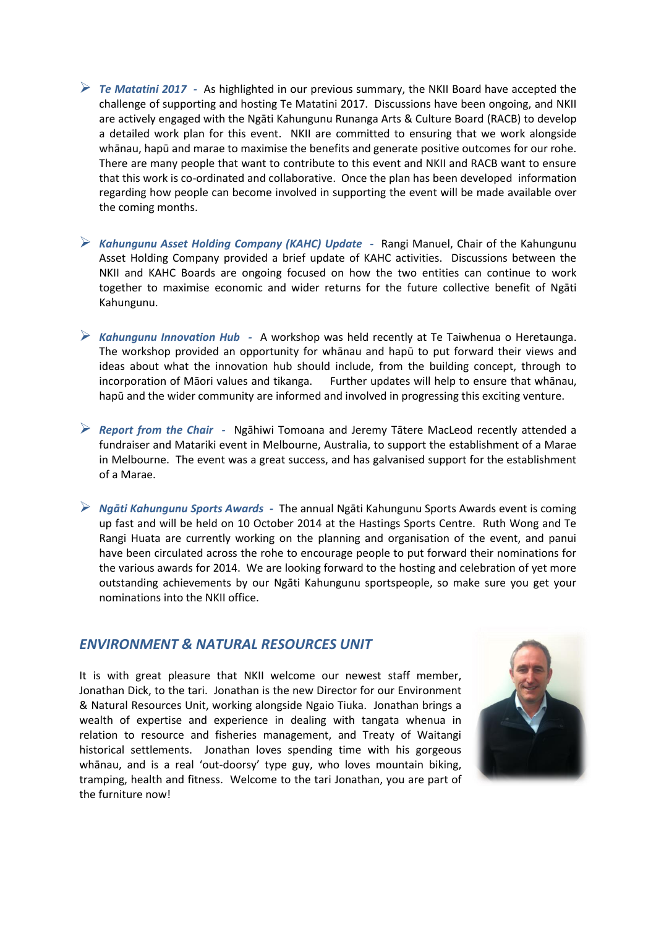- *Te Matatini 2017 -* As highlighted in our previous summary, the NKII Board have accepted the challenge of supporting and hosting Te Matatini 2017. Discussions have been ongoing, and NKII are actively engaged with the Ngāti Kahungunu Runanga Arts & Culture Board (RACB) to develop a detailed work plan for this event. NKII are committed to ensuring that we work alongside whānau, hapū and marae to maximise the benefits and generate positive outcomes for our rohe. There are many people that want to contribute to this event and NKII and RACB want to ensure that this work is co-ordinated and collaborative. Once the plan has been developed information regarding how people can become involved in supporting the event will be made available over the coming months.
- *Kahungunu Asset Holding Company (KAHC) Update -* Rangi Manuel, Chair of the Kahungunu Asset Holding Company provided a brief update of KAHC activities. Discussions between the NKII and KAHC Boards are ongoing focused on how the two entities can continue to work together to maximise economic and wider returns for the future collective benefit of Ngāti Kahungunu.
- *Kahungunu Innovation Hub* A workshop was held recently at Te Taiwhenua o Heretaunga. The workshop provided an opportunity for whānau and hapū to put forward their views and ideas about what the innovation hub should include, from the building concept, through to incorporation of Māori values and tikanga. Further updates will help to ensure that whānau, hapū and the wider community are informed and involved in progressing this exciting venture.
- *Report from the Chair* Ngāhiwi Tomoana and Jeremy Tātere MacLeod recently attended a fundraiser and Matariki event in Melbourne, Australia, to support the establishment of a Marae in Melbourne. The event was a great success, and has galvanised support for the establishment of a Marae.
- *Ngāti Kahungunu Sports Awards* The annual Ngāti Kahungunu Sports Awards event is coming up fast and will be held on 10 October 2014 at the Hastings Sports Centre. Ruth Wong and Te Rangi Huata are currently working on the planning and organisation of the event, and panui have been circulated across the rohe to encourage people to put forward their nominations for the various awards for 2014. We are looking forward to the hosting and celebration of yet more outstanding achievements by our Ngāti Kahungunu sportspeople, so make sure you get your nominations into the NKII office.

## *ENVIRONMENT & NATURAL RESOURCES UNIT*

It is with great pleasure that NKII welcome our newest staff member, Jonathan Dick, to the tari. Jonathan is the new Director for our Environment & Natural Resources Unit, working alongside Ngaio Tiuka. Jonathan brings a wealth of expertise and experience in dealing with tangata whenua in relation to resource and fisheries management, and Treaty of Waitangi historical settlements. Jonathan loves spending time with his gorgeous whānau, and is a real 'out-doorsy' type guy, who loves mountain biking, tramping, health and fitness. Welcome to the tari Jonathan, you are part of the furniture now!